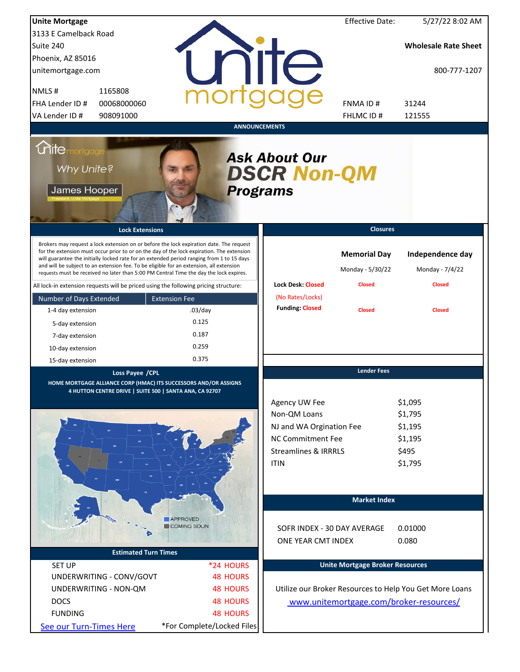| <b>Unite Mortgage</b>                                                                                                                                                                                                                                                                                                                                                                                                                                                  |                                |                                                                                | <b>Effective Date:</b>                  | 5/27/22 8:02 AM                                         |  |  |
|------------------------------------------------------------------------------------------------------------------------------------------------------------------------------------------------------------------------------------------------------------------------------------------------------------------------------------------------------------------------------------------------------------------------------------------------------------------------|--------------------------------|--------------------------------------------------------------------------------|-----------------------------------------|---------------------------------------------------------|--|--|
| 3133 E Camelback Road                                                                                                                                                                                                                                                                                                                                                                                                                                                  |                                |                                                                                |                                         |                                                         |  |  |
| Suite 240                                                                                                                                                                                                                                                                                                                                                                                                                                                              |                                |                                                                                |                                         | <b>Wholesale Rate Sheet</b>                             |  |  |
| Phoenix, AZ 85016                                                                                                                                                                                                                                                                                                                                                                                                                                                      |                                |                                                                                |                                         |                                                         |  |  |
| unitemortgage.com                                                                                                                                                                                                                                                                                                                                                                                                                                                      |                                | <b>TITE</b>                                                                    |                                         | 800-777-1207                                            |  |  |
| NMLS#<br>1165808                                                                                                                                                                                                                                                                                                                                                                                                                                                       |                                |                                                                                |                                         |                                                         |  |  |
| FHA Lender ID #<br>00068000060                                                                                                                                                                                                                                                                                                                                                                                                                                         |                                |                                                                                | FNMA ID#                                | 31244                                                   |  |  |
| VA Lender ID #<br>908091000                                                                                                                                                                                                                                                                                                                                                                                                                                            |                                |                                                                                | FHLMC ID#                               | 121555                                                  |  |  |
|                                                                                                                                                                                                                                                                                                                                                                                                                                                                        | <b>ANNOUNCEMENTS</b>           |                                                                                |                                         |                                                         |  |  |
| <b>Chite</b> mortgage<br><b>Ask About Our</b><br>Why Unite?<br><b>DSCR Non-QM</b><br>James Hooper<br><b>Programs</b>                                                                                                                                                                                                                                                                                                                                                   |                                |                                                                                |                                         |                                                         |  |  |
| <b>Lock Extensions</b>                                                                                                                                                                                                                                                                                                                                                                                                                                                 |                                |                                                                                | <b>Closures</b>                         |                                                         |  |  |
| Brokers may request a lock extension on or before the lock expiration date. The request<br>for the extension must occur prior to or on the day of the lock expiration. The extension<br>will guarantee the initially locked rate for an extended period ranging from 1 to 15 days<br>and will be subject to an extension fee. To be eligible for an extension, all extension<br>requests must be received no later than 5:00 PM Central Time the day the lock expires. |                                |                                                                                | <b>Memorial Day</b><br>Monday - 5/30/22 | Independence day<br>Monday - 7/4/22                     |  |  |
| All lock-in extension requests will be priced using the following pricing structure:                                                                                                                                                                                                                                                                                                                                                                                   |                                | <b>Lock Desk: Closed</b>                                                       | <b>Closed</b>                           | <b>Closed</b>                                           |  |  |
| Number of Days Extended                                                                                                                                                                                                                                                                                                                                                                                                                                                | <b>Extension Fee</b>           | (No Rates/Locks)                                                               |                                         |                                                         |  |  |
| 1-4 day extension                                                                                                                                                                                                                                                                                                                                                                                                                                                      | $.03$ /day                     | <b>Funding: Closed</b>                                                         | <b>Closed</b>                           | <b>Closed</b>                                           |  |  |
| 5-day extension                                                                                                                                                                                                                                                                                                                                                                                                                                                        | 0.125                          |                                                                                |                                         |                                                         |  |  |
| 7-day extension                                                                                                                                                                                                                                                                                                                                                                                                                                                        | 0.187                          |                                                                                |                                         |                                                         |  |  |
| 10-day extension                                                                                                                                                                                                                                                                                                                                                                                                                                                       | 0.259                          |                                                                                |                                         |                                                         |  |  |
| 15-day extension                                                                                                                                                                                                                                                                                                                                                                                                                                                       | 0.375                          |                                                                                |                                         |                                                         |  |  |
| Loss Payee / CPL<br>HOME MORTGAGE ALLIANCE CORP (HMAC) ITS SUCCESSORS AND/OR ASSIGNS<br>4 HUTTON CENTRE DRIVE   SUITE 500   SANTA ANA, CA 92707                                                                                                                                                                                                                                                                                                                        |                                | Agency UW Fee<br>Non-QM Loans<br>NJ and WA Orgination Fee<br>NC Commitment Fee | <b>Lender Fees</b>                      | \$1,095<br>\$1,795<br>\$1,195<br>\$1,195                |  |  |
|                                                                                                                                                                                                                                                                                                                                                                                                                                                                        |                                | <b>Streamlines &amp; IRRRLS</b>                                                |                                         | \$495                                                   |  |  |
|                                                                                                                                                                                                                                                                                                                                                                                                                                                                        |                                | <b>ITIN</b>                                                                    |                                         | \$1,795                                                 |  |  |
|                                                                                                                                                                                                                                                                                                                                                                                                                                                                        |                                |                                                                                | <b>Market Index</b>                     |                                                         |  |  |
|                                                                                                                                                                                                                                                                                                                                                                                                                                                                        | <b>APPROVED</b><br>COMING SOON |                                                                                |                                         |                                                         |  |  |
|                                                                                                                                                                                                                                                                                                                                                                                                                                                                        |                                | SOFR INDEX - 30 DAY AVERAGE                                                    |                                         | 0.01000                                                 |  |  |
|                                                                                                                                                                                                                                                                                                                                                                                                                                                                        |                                | ONE YEAR CMT INDEX                                                             |                                         | 0.080                                                   |  |  |
| <b>Estimated Turn Times</b>                                                                                                                                                                                                                                                                                                                                                                                                                                            |                                |                                                                                |                                         |                                                         |  |  |
| <b>SET UP</b>                                                                                                                                                                                                                                                                                                                                                                                                                                                          | *24 HOURS                      |                                                                                | <b>Unite Mortgage Broker Resources</b>  |                                                         |  |  |
| UNDERWRITING - CONV/GOVT                                                                                                                                                                                                                                                                                                                                                                                                                                               | <b>48 HOURS</b>                |                                                                                |                                         |                                                         |  |  |
| UNDERWRITING - NON-QM                                                                                                                                                                                                                                                                                                                                                                                                                                                  | <b>48 HOURS</b>                |                                                                                |                                         | Utilize our Broker Resources to Help You Get More Loans |  |  |
| <b>DOCS</b>                                                                                                                                                                                                                                                                                                                                                                                                                                                            | <b>48 HOURS</b>                |                                                                                |                                         | www.unitemortgage.com/broker-resources/                 |  |  |
| <b>FUNDING</b>                                                                                                                                                                                                                                                                                                                                                                                                                                                         | <b>48 HOURS</b>                |                                                                                |                                         |                                                         |  |  |
| See our Turn-Times Here                                                                                                                                                                                                                                                                                                                                                                                                                                                | *For Complete/Locked Files     |                                                                                |                                         |                                                         |  |  |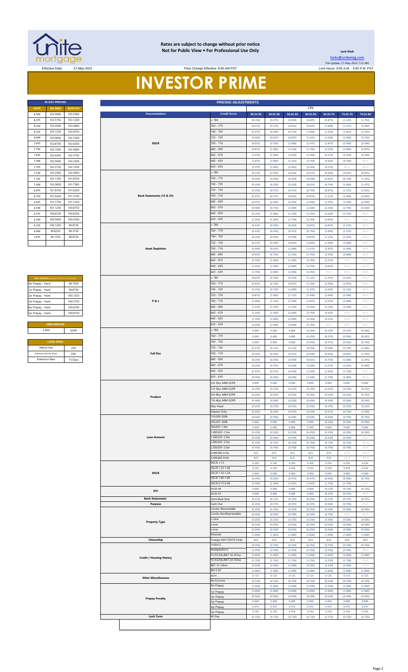

#### **Rates are subject to change without prior notice Not for Public View • For Professional Use Only <b>Leading Community** Lock Desk

Price Change Effective: 9:00 AM PST

**30 DAY PRICING PRICING ADJUSTMENTS**

[locks@unitemtg](mailto:locks@unitemtg.com).com File Update: 27-May-2022 7:32 AM

Effective Date: 27-May-2022 Lock Hours: 9:00 A.M. - 3:00 P.M. PST

## **INVESTOR PRIME**

| <b>30 DAY PRICING</b> |                |                 |  |  |  |  |  |  |
|-----------------------|----------------|-----------------|--|--|--|--|--|--|
| <b>RATE</b>           | <b>5/6 ARM</b> | <b>30YR FIX</b> |  |  |  |  |  |  |
| 8.500                 | 103.5000       | 103.2500        |  |  |  |  |  |  |
| 8.375                 | 103 3750       | 103 1250        |  |  |  |  |  |  |
| 8.250                 | 103.2500       | 103.0000        |  |  |  |  |  |  |
| 8.125                 | 103.1250       | 102.8750        |  |  |  |  |  |  |
| 8.000                 | 103,0000       | 102.7500        |  |  |  |  |  |  |
| 7.875                 | 102.8750       | 102.6250        |  |  |  |  |  |  |
| 7.750                 | 102.7500       | 102.5000        |  |  |  |  |  |  |
| 7.625                 | 102.6250       | 102.3750        |  |  |  |  |  |  |
| 7.500                 | 102.5000       | 102.2500        |  |  |  |  |  |  |
| 7.375                 | 102.3750       | 102.1250        |  |  |  |  |  |  |
| 7.250                 | 102 2500       | 102.0000        |  |  |  |  |  |  |
| 7.125                 | 102.1250       | 101.8750        |  |  |  |  |  |  |
| 7.000                 | 102.0000       | 101.7500        |  |  |  |  |  |  |
| 6.875                 | 101.8750       | 101.6250        |  |  |  |  |  |  |
| 6.750                 | 101 6250       | 101.3750        |  |  |  |  |  |  |
| 6.625                 | 101.3750       | 101.1250        |  |  |  |  |  |  |
| 6.500                 | 101.1250       | 100.8750        |  |  |  |  |  |  |
| 6.375                 | 100.8750       | 100.6250        |  |  |  |  |  |  |
| 6.250                 | 100,5000       | 100.2500        |  |  |  |  |  |  |
| 6.125                 | 100.1250       | 99.8750         |  |  |  |  |  |  |
| 6.000                 | 99.6250        | 99.3750         |  |  |  |  |  |  |
| 5.875                 | 99 1250        | 98 8750         |  |  |  |  |  |  |
|                       |                |                 |  |  |  |  |  |  |

| <b>MAX PRICING (Lower of Price or Premium)</b> |          |  |  |  |  |  |  |
|------------------------------------------------|----------|--|--|--|--|--|--|
| No Prepay - Hard                               | 98 7500  |  |  |  |  |  |  |
| 1yr Prepay - Hard                              | 99 8750  |  |  |  |  |  |  |
| 2yr Prepay - Hard                              | 100 1250 |  |  |  |  |  |  |
| 3yr Prepay - Hard                              | 100 3750 |  |  |  |  |  |  |
| 4yr Prepay - Hard                              | 100 6250 |  |  |  |  |  |  |
| 5yr Prepay - Hard                              | 100 8750 |  |  |  |  |  |  |
|                                                |          |  |  |  |  |  |  |
| <b>ARM MARGIN</b>                              |          |  |  |  |  |  |  |
| 5.000                                          | SOFR     |  |  |  |  |  |  |
|                                                |          |  |  |  |  |  |  |
| <b>LOCK FEES</b>                               |          |  |  |  |  |  |  |
| Relock Fee:                                    | 250      |  |  |  |  |  |  |
| Extension Fee Per Diem:                        | 030      |  |  |  |  |  |  |
| <b>Extension Max:</b>                          | 15 Days  |  |  |  |  |  |  |

| 103.5000                               | 103.2500 |
|----------------------------------------|----------|
| 103.3750                               | 103.1250 |
| 103.2500                               | 103.0000 |
| 103.1250                               | 102.8750 |
| 103.0000                               | 102.7500 |
| 102.8750                               | 102.6250 |
| 102.7500                               | 102.5000 |
| 102.6250                               | 102.3750 |
| 102.5000                               | 102.2500 |
| 102.3750                               | 102.1250 |
| 102.2500                               | 102.0000 |
| 102.1250                               | 101.8750 |
| 102.0000                               | 101.7500 |
| 101.8750                               | 101.6250 |
| 101.6250                               | 101.3750 |
| 101.3750                               | 101.1250 |
| 101.1250                               | 100.8750 |
| 100.8750                               | 100.6250 |
| 100.5000                               | 100.2500 |
|                                        |          |
| 100.1250                               | 99.8750  |
| 99.6250                                | 99.3750  |
| 99.1250                                | 98.8750  |
|                                        |          |
|                                        |          |
|                                        |          |
|                                        |          |
|                                        |          |
|                                        |          |
| MAX PRICING (Lower of Price or Premiun |          |
| No Prepay - Hard                       | 98.7500  |
| 1yr Prepay - Hard                      | 99.8750  |
| 2yr Prepay - Hard                      | 100.1250 |
| 3yr Prepay - Hard                      | 100.3750 |
| 4yr Prepay - Hard                      | 100.6250 |
| 5yr Prepay - Hard                      | 100.8750 |
|                                        |          |
| <b>ARM MARGIN</b>                      |          |
| 5.000                                  | SOFR     |
|                                        |          |
| <b>LOCK FEES</b>                       |          |
| Relock Fee:                            | .250     |
| Extension Fee Per Diem:                | .030     |
| Extension Max:                         | 15 Days  |
|                                        |          |
|                                        |          |
|                                        |          |
|                                        |          |
|                                        |          |
|                                        |          |
|                                        |          |
|                                        |          |
|                                        |          |
|                                        |          |
|                                        |          |
|                                        |          |
|                                        |          |
|                                        |          |
|                                        |          |
|                                        |          |
|                                        |          |
|                                        |          |
|                                        |          |
|                                        |          |
|                                        |          |
|                                        |          |
|                                        |          |
|                                        |          |
|                                        |          |
|                                        |          |
|                                        |          |
|                                        |          |
|                                        |          |
|                                        |          |
|                                        |          |
|                                        |          |
|                                        |          |
|                                        |          |
|                                        |          |
|                                        |          |
|                                        |          |
|                                        |          |
|                                        |          |
|                                        |          |
|                                        |          |
|                                        |          |
|                                        |          |
|                                        |          |
|                                        |          |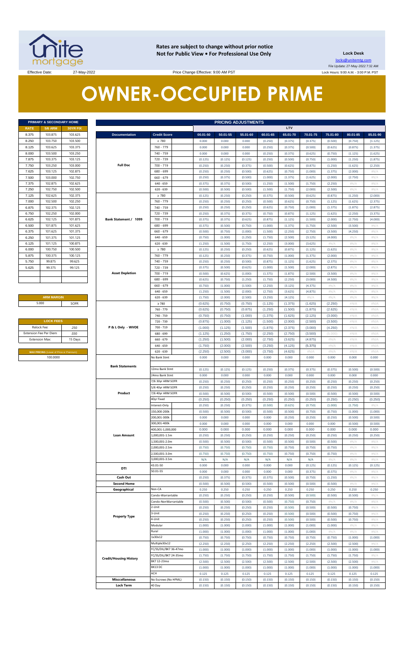

**Rates are subject to change without prior notice Not for Public View • For Professional Use Only Lock Desk**

locks@unitemtg.com File Update: 27-May-2022 7:32 AM Lock Hours: 9:00 A.M. - 3:00 P.M. PST

Effective Date: 27-May-2022 27-May-2022 Price Change Effective: 9:00 AM PST

# **OWNER-OCCUPIED PRIME**

| PRIMARY & SECONDARY HOME |                |                 |  |  |  |  |  |
|--------------------------|----------------|-----------------|--|--|--|--|--|
| <b>RATE</b>              | <b>5/6 ARM</b> | <b>30YR FIX</b> |  |  |  |  |  |
| 8.375                    | 103.875        | 103.625         |  |  |  |  |  |
| 8.250                    | 103.750        | 103.500         |  |  |  |  |  |
| 8.125                    | 103.625        | 103.375         |  |  |  |  |  |
| 8.000                    | 103.500        | 103.250         |  |  |  |  |  |
| 7.875                    | 103.375        | 103.125         |  |  |  |  |  |
| 7.750                    | 103.250        | 103.000         |  |  |  |  |  |
| 7.625                    | 103.125        | 102.875         |  |  |  |  |  |
| 7.500                    | 103,000        | 102.750         |  |  |  |  |  |
| 7.375                    | 102.875        | 102.625         |  |  |  |  |  |
| 7.250                    | 102.750        | 102.500         |  |  |  |  |  |
| 7.125                    | 102.625        | 102.375         |  |  |  |  |  |
| 7.000                    | 102.500        | 102.250         |  |  |  |  |  |
| 6.875                    | 102.375        | 102.125         |  |  |  |  |  |
| 6.750                    | 102.250        | 102.000         |  |  |  |  |  |
| 6.625                    | 102.125        | 101.875         |  |  |  |  |  |
| 6.500                    | 101.875        | 101.625         |  |  |  |  |  |
| 6.375                    | 101.625        | 101.375         |  |  |  |  |  |
| 6.250                    | 101.375        | 101.125         |  |  |  |  |  |
| 6.125                    | 101.125        | 100.875         |  |  |  |  |  |
| 6.000                    | 100.750        | 100.500         |  |  |  |  |  |
| 5.875                    | 100.375        | 100.125         |  |  |  |  |  |
| 5.750                    | 99.875         | 99.625          |  |  |  |  |  |
| 5.625                    | 99.375         | 99.125          |  |  |  |  |  |
|                          |                |                 |  |  |  |  |  |
|                          |                |                 |  |  |  |  |  |
|                          |                |                 |  |  |  |  |  |

### **ARM MARGIN** 5.000

| <b>LOCK FEES</b>                               |         |  |  |  |  |  |
|------------------------------------------------|---------|--|--|--|--|--|
| Relock Fee:                                    | .250    |  |  |  |  |  |
| <b>Extension Fee Per Diem</b>                  | .030    |  |  |  |  |  |
| <b>Extension Max:</b>                          | 15 Days |  |  |  |  |  |
|                                                |         |  |  |  |  |  |
| <b>MAX PRICING (Lower of Price or Premium)</b> |         |  |  |  |  |  |
| 100,0000                                       |         |  |  |  |  |  |

|                       | PRIMARY & SECONDARY HOME                                                 |          |                               | <b>PRICING ADJUSTMENTS</b> |          |          |          |          |          |          |          |               |          |
|-----------------------|--------------------------------------------------------------------------|----------|-------------------------------|----------------------------|----------|----------|----------|----------|----------|----------|----------|---------------|----------|
| RATE                  | <b>5/6 ARM</b>                                                           | 30YR FIX |                               |                            |          |          |          |          | LTV      |          |          |               |          |
| 8.375                 | 103.875                                                                  | 103.625  | <b>Documentation</b>          | <b>Credit Score</b>        | 00.01-50 | 50.01-55 | 55.01-60 | 60.01-65 | 65.01-70 | 70.01-75 | 75.01-80 | 80.01-85      | 85.01-90 |
| 8.250                 | 103.750                                                                  | 103.500  |                               | $\geq 780$                 | 0.000    | 0.000    | 0.000    | (0.250)  | (0.375)  | (0.375)  | (0.500)  | (0.750)       | (1.125)  |
| 8.125                 | 103.625                                                                  | 103.375  |                               | 760 - 779                  | 0.000    | 0.000    | 0.000    | (0.250)  | (0.375)  | (0.500)  | (0.625)  | (0.875)       | (1.375)  |
| 8.000                 | 103.500                                                                  | 103.250  |                               | 740 - 759                  | 0.000    | 0.000    | 0.000    | (0.250)  | (0.375)  | (0.625)  | (0.750)  | (1.125)       | (1.625)  |
| 7.875                 | 103.375                                                                  | 103.125  |                               | 720 - 739                  | (0.125)  | (0.125)  | (0.125)  | (0.250)  | (0.500)  | (0.750)  | (1.000)  | (1.250)       | (1.875)  |
| 7.750                 | 103.250                                                                  | 103.000  | <b>Full Doc</b>               | 700 - 719                  | (0.250)  | (0.250)  | (0.375)  | (0.500)  | (0.625)  | (0.875)  | (1.250)  | (1.625)       | (2.250)  |
| 7.625                 | 103.125                                                                  | 102.875  |                               | 680 - 699                  | (0.250)  | (0.250)  | (0.500)  | (0.625)  | (0.750)  | (1.000)  | (1.375)  | (2.000)       | #N/A     |
|                       |                                                                          |          |                               |                            |          |          |          |          |          |          |          |               |          |
| 7.500                 | 103.000                                                                  | 102.750  |                               | $660 - 679$                | (0.250)  | (0.375)  | (0.500)  | (1.000)  | (1.375)  | (1.625)  | (2.000)  | (2.750)       | #N/A     |
| 7.375                 | 102.875                                                                  | 102.625  |                               | $640 - 659$                | (0.375)  | (0.375)  | (0.500)  | (1.250)  | (1.500)  | (1.750)  | (2.250)  | $\#N/A$       | #N/A     |
| 7.250                 | 102.750                                                                  | 102.500  |                               | $620 - 639$                | (0.500)  | (0.500)  | (0.500)  | (1.500)  | (1.750)  | (2.000)  | (2.500)  | $\#N/A$       | #N/A     |
| 7.125                 | 102.625                                                                  | 102.375  |                               | $\geq 780$                 | (0.125)  | (0.250)  | (0.250)  | (0.375)  | (0.500)  | (0.625)  | (0.875)  | (1.250)       | (2.000)  |
| 7.000                 | 102.500                                                                  | 102.250  |                               | 760 - 779                  | (0.250)  | (0.250)  | (0.250)  | (0.500)  | (0.625)  | (0.750)  | (1.125)  | (1.625)       | (2.375)  |
| 6.875                 | 102.375                                                                  | 102.125  |                               | 740 - 759                  | (0.250)  | (0.250)  | (0.250)  | (0.625)  | (0.750)  | (1.000)  | (1.375)  | (1.875)       | (2.875)  |
| 6.750                 | 102.250                                                                  | 102.000  |                               | 720 - 739                  | (0.250)  | (0.375)  | (0.375)  | (0.750)  | (0.875)  | (1.125)  | (1.625)  | (2.250)       | (3.375)  |
| 6.625                 | 102.125                                                                  | 101.875  | Bank Statement / 1099         | 700 - 719                  | (0.375)  | (0.375)  | (0.625)  | (0.875)  | (1.125)  | (1.500)  | (2.000)  | (2.750)       | (4.000)  |
| 6.500                 | 101.875                                                                  | 101.625  |                               | 680 - 699                  | (0.375)  | (0.500)  | (0.750)  | (1.000)  | (1.375)  | (1.750)  | (2.500)  | (3.500)       | #N/ $/$  |
| 6.375                 | 101.625                                                                  | 101.375  |                               | $660 - 679$                | (0.500)  | (0.750)  | (1.000)  | (1.500)  | (2.250)  | (2.750)  | (3.500)  | (4.250)       | #N/A     |
| 6.250                 | 101.375                                                                  | 101.125  |                               | $640 - 659$                | (0.750)  | (1.000)  | (1.250)  | (1.750)  | (2.500)  | (3.125)  | (4.000)  | $\#N/\Lambda$ | #N/A     |
| 6.125                 | 101.125                                                                  | 100.875  |                               | $620 - 639$                | (1.250)  | (1.500)  | (1.750)  | (2.250)  | (3.000)  | (3.625)  | #N/A     | $\#N/A$       | #N/A     |
| 6.000                 | 100.750                                                                  | 100.500  |                               | $\geq 780$                 | (0.125)  | (0.250)  | (0.250)  | (0.625)  | (0.875)  | (1.125)  | (1.625)  | #N/A          | #N/A     |
| 5.875                 | 100.375                                                                  | 100.125  |                               | 760 - 779                  | (0.125)  | (0.250)  | (0.375)  | (0.750)  | (1.000)  | (1.375)  | (2.000)  | $\#N/A$       | #N/A     |
| 5.750                 | 99.875                                                                   | 99.625   |                               | 740 - 759                  | (0.250)  | (0.250)  | (0.500)  | (0.875)  | (1.125)  | (1.625)  | (2.375)  | $\#N/A$       | #N/A     |
| 5.625                 | 99.375                                                                   | 99.125   |                               | 720 - 739                  | (0.375)  | (0.500)  | (0.625)  | (1.000)  | (1.500)  | (2.000)  | (2.875)  | $\#N/A$       | #N/A     |
|                       |                                                                          |          | <b>Asset Depletion</b>        | 700 - 719                  | (0.500)  | (0.625)  | (1.000)  | (1.375)  | (1.875)  | (2.500)  | (3.500)  | $\#N/A$       | #N/A     |
|                       |                                                                          |          |                               | 680 - 699                  | (0.625)  | (0.750)  | (1.250)  | (1.750)  | (2.250)  | (3.000)  | (4.500)  | $\#N/A$       | #N/A     |
|                       |                                                                          |          |                               | $660 - 679$                | (0.750)  | (1.000)  | (1.500)  | (2.250)  | (3.125)  | (4.375)  | #N/A     | $\#N/A$       | #N/A     |
|                       |                                                                          |          |                               | $640 - 659$                | (1.250)  | (1.500)  | (2.000)  | (2.750)  | (3.625)  | (4.875)  | #N/A     | $\#N/A$       | #N/A     |
|                       | <b>ARM MARGIN</b>                                                        |          |                               | $620 - 639$                | (1.750)  | (2.000)  | (2.500)  | (3.250)  | (4.125)  | #N/A     | #N/ $/$  | $\#N/A$       | #N/A     |
| 5.000                 |                                                                          | SOFR     |                               | $\geq 780$                 | (0.625)  | (0.750)  | (0.750)  | (1.125)  | (1.375)  | (1.625)  | (2.250)  | #N/A          | #N/A     |
|                       |                                                                          |          |                               | 760 - 779                  | (0.625)  | (0.750)  | (0.875)  | (1.250)  | (1.500)  | (1.875)  | (2.625)  | #N/A          | #N/A     |
|                       | <b>LOCK FEES</b><br>Relock Fee:<br>.250<br>xtension Fee Per Diem<br>.030 |          | 740 - 759                     | (0.750)                    | (0.750)  | (1.000)  | (1.375)  | (1.625)  | (2.125)  | (3.000)  | #N/A     | #N/A          |          |
|                       |                                                                          |          | 720 - 739                     | (0.875)                    | (1.000)  | (1.125)  | (1.500)  | (2.000)  | (2.500)  | (3.500)  | #N/A     | #N/A          |          |
|                       |                                                                          |          | P & L Only - WVOE             | 700 - 719                  | (1.000)  | (1.125)  | (1.500)  | (1.875)  | (2.375)  | (3.000)  | (4.250)  | #N/A          | #N/A     |
|                       |                                                                          |          |                               |                            |          | (1.250)  |          |          |          |          |          | #N/A          | #N/A     |
| <b>Extension Max:</b> |                                                                          |          |                               | 680 - 699                  | (1.125)  |          | (1.750)  | (2.250)  | (2.750)  | (3.500)  | (5.000)  |               |          |
|                       |                                                                          | 15 Days  |                               | 660 - 679                  | (1.250)  | (1.500)  | (2.000)  | (2.750)  | (3.625)  | (4.875)  | $\#N/A$  | #N/A          | #N/A     |
|                       |                                                                          |          |                               | $640 - 659$                | (1.750)  | (2.000)  | (2.500)  | (3.250)  | (4.125)  | (5.375)  | $\#N/A$  | #N/A          | #N/A     |
|                       | MAX PRICING (Lower of Price or Premium)                                  |          |                               | $620 - 639$                | (2.250)  | (2.500)  | (3.000)  | (3.750)  | (4.625)  | #N/A     | $\#N/A$  | #N/A          | #N/A     |
|                       | 100.0000                                                                 |          |                               | No Bank Stmt               | 0.000    | 0.000    | 0.000    | 0.000    | 0.000    | 0.000    | 0.000    | 0.000         | 0.000    |
|                       |                                                                          |          | <b>Bank Statements</b>        |                            |          |          |          |          |          |          |          |               |          |
|                       |                                                                          |          |                               | 12mo Bank Stmt             | (0.125)  | (0.125)  | (0.125)  | (0.250)  | (0.375)  | (0.375)  | (0.375)  | (0.500)       | (0.500)  |
|                       |                                                                          |          |                               | 24mo Bank Stmt             | 0.000    | 0.000    | 0.000    | 0.000    | 0.000    | 0.000    | 0.000    | 0.000         | 0.000    |
|                       |                                                                          |          |                               | 7/6 30yr ARM SOFR          | (0.250)  | (0.250)  | (0.250)  | (0.250)  | (0.250)  | (0.250)  | (0.250)  | (0.250)       | (0.250)  |
|                       |                                                                          |          |                               | 5/6 40yr ARM SOFR          | (0.250)  | (0.250)  | (0.250)  | (0.250)  | (0.250)  | (0.250)  | (0.250)  | (0.250)       | (0.250)  |
|                       |                                                                          |          | Product                       | 7/6 40yr ARM SOFR          | (0.500)  | (0.500)  | (0.500)  | (0.500)  | (0.500)  | (0.500)  | (0.500)  | (0.500)       | (0.500)  |
|                       |                                                                          |          |                               | 40yr Fixed                 | (0.250)  | (0.250)  | (0.250)  | (0.250)  | (0.250)  | (0.250)  | (0.250)  | (0.250)       | (0.250)  |
|                       |                                                                          |          |                               | Interest-Only              | (0.250)  | (0.250)  | (0.375)  | (0.500)  | (0.625)  | (0.750)  | (1.000)  | (1.750)       | #N/A     |
|                       |                                                                          |          |                               | 150,000-200k               | (0.500)  | (0.500)  | (0.500)  | (0.500)  | (0.500)  | (0.750)  | (0.750)  | (1.000)       | (1.000)  |
|                       |                                                                          |          |                               | 200,001-300k               | 0.000    | 0.000    | 0.000    | 0.000    | (0.250)  | (0.250)  | (0.250)  | (0.500)       | (0.500)  |
|                       |                                                                          |          |                               | 300,001-400k               | 0.000    | 0.000    | 0.000    | 0.000    | 0.000    | 0.000    | 0.000    | (0.500)       | (0.500)  |
|                       |                                                                          |          |                               | 400,001-1,000,000          | 0.000    | 0.000    | 0.000    | 0.000    | 0.000    | 0.000    | 0.000    | 0.000         | 0.000    |
|                       |                                                                          |          | <b>Loan Amount</b>            | 1,000,001-1.5m             | (0.250)  | (0.250)  | (0.250)  | (0.250)  | (0.250)  | (0.250)  | (0.250)  | (0.250)       | (0.250)  |
|                       |                                                                          |          |                               | 1,500,001-2.0m             | (0.500)  | (0.500)  | (0.500)  | (0.500)  | (0.500)  | (0.500)  | (0.500)  | $\#N/A$       | #N/A     |
|                       |                                                                          |          |                               | 2,000,001-2.5m             | (0.750)  | (0.750)  | (0.750)  | (0.750)  | (0.750)  | (0.750)  | (0.750)  | $\#N/A$       | #N/A     |
|                       |                                                                          |          |                               | 2,500,001-3.0m             | (0.750)  | (0.750)  | (0.750)  | (0.750)  | (0.750)  | (0.750)  | (0.750)  | #N/A          | #N/A     |
|                       |                                                                          |          |                               | 3,000,001-3.5m             | N/A      | N/A      | N/A      | N/A      | N/A      | N/A      | #N/A     | $\#N/A$       | #N/ $/$  |
|                       |                                                                          |          | DTI                           | 43.01-50                   | 0.000    | 0.000    | 0.000    | 0.000    | 0.000    | (0.125)  | (0.125)  | (0.125)       | (0.125)  |
|                       |                                                                          |          |                               | 50.01-55                   | 0.000    | 0.000    | 0.000    | 0.000    | 0.000    | (0.375)  | (0.375)  | #N/A          | #N/ $/$  |
|                       |                                                                          |          | Cash Out                      |                            | (0.250)  | (0.375)  | (0.375)  | (0.375)  | (0.500)  | (0.750)  | (1.250)  | $\#N/A$       | #N/A     |
|                       |                                                                          |          | <b>Second Home</b>            |                            | (0.500)  | (0.500)  | (0.500)  | (0.500)  | (0.500)  | (0.500)  | (0.500)  | $\#N/A$       | #N/A     |
|                       |                                                                          |          | Geographical                  | Non-CA                     | 0.250    | 0.250    | 0.250    | 0.250    | 0.250    | 0.250    | 0.250    | 0.250         | 0.250    |
|                       |                                                                          |          |                               | Condo-Warrantable          | (0.250)  | (0.250)  | (0.250)  | (0.250)  | (0.500)  | (0.500)  | (0.500)  | (0.500)       | #N/A     |
|                       |                                                                          |          |                               | Condo-NonWarrantable       | (0.500)  | (0.500)  | (0.500)  | (0.500)  | (0.750)  | (0.750)  | #N/A     | #N/A          | #N/A     |
|                       |                                                                          |          |                               | 2-Unit                     | (0.250)  | (0.250)  | (0.250)  | (0.250)  | (0.500)  | (0.500)  | (0.500)  | (0.750)       | #N/A     |
|                       |                                                                          |          |                               | 3-Unit                     | (0.250)  | (0.250)  | (0.250)  | (0.250)  | (0.500)  | (0.500)  | (0.500)  | (0.750)       | #N/A     |
|                       |                                                                          |          | <b>Property Type</b>          | 4-Unit                     | (0.250)  | (0.250)  | (0.250)  | (0.250)  | (0.500)  | (0.500)  | (0.500)  | (0.750)       | #N/A     |
|                       |                                                                          |          |                               | Modular                    | (1.000)  | (1.000)  | (1.000)  | (1.000)  | (1.000)  | (1.000)  | (1.000)  | #N/A          | #N/ $/$  |
|                       |                                                                          |          |                               | Rural                      | (1.000)  | (1.000)  | (1.000)  | (1.000)  | (1.000)  | (1.000)  | #N//     | $\#N/A$       | #N/ $/$  |
|                       |                                                                          |          |                               | 1x30x12                    | (0.750)  | (0.750)  | (0.750)  | (0.750)  | (0.750)  | (0.750)  | (0.750)  | (1.000)       | (1.000)  |
|                       |                                                                          |          |                               | Multiple30x12              | (2.250)  | (2.250)  | (2.250)  | (2.250)  | (2.250)  | (2.250)  | (2.500)  | (2.500)       | #N//     |
|                       |                                                                          |          |                               | FC/SS/DIL/BK7 36-47mo      | (1.000)  | (1.000)  | (1.000)  | (1.000)  | (1.000)  | (1.000)  | (1.000)  | (1.000)       | (1.000)  |
|                       |                                                                          |          |                               | FC/SS/DIL/BK7 24-35mo      | (1.750)  | (1.750)  | (1.750)  | (1.750)  | (1.750)  | (1.750)  | (1.750)  | (1.750)       | #N/ $/$  |
|                       |                                                                          |          | <b>Credit/Housing History</b> | BK7 12-23mo                | (2.500)  | (2.500)  | (2.500)  | (2.500)  | (2.500)  | (2.500)  | (2.500)  | (2.500)       | #N/A     |
|                       |                                                                          |          |                               | BK13 DC                    | (1.000)  | (1.000)  | (1.000)  | (1.000)  | (1.000)  | (1.000)  | (1.000)  | (1.000)       | (1.000)  |
|                       |                                                                          |          |                               | ACH                        | 0.125    | 0.125    | 0.125    | 0.125    | 0.125    | 0.125    | 0.125    | 0.125         | 0.125    |
|                       |                                                                          |          | <b>Misccellaneous</b>         |                            |          |          |          |          |          |          |          |               |          |
|                       |                                                                          |          |                               | No Escrows (No HPML)       | (0.150)  | (0.150)  | (0.150)  | (0.150)  | (0.150)  | (0.150)  | (0.150)  | (0.150)       | (0.150)  |
|                       |                                                                          |          | <b>Lock Term</b>              | 40 Day                     | (0.150)  | (0.150)  | (0.150)  | (0.150)  | (0.150)  | (0.150)  | (0.150)  | (0.150)       | (0.150)  |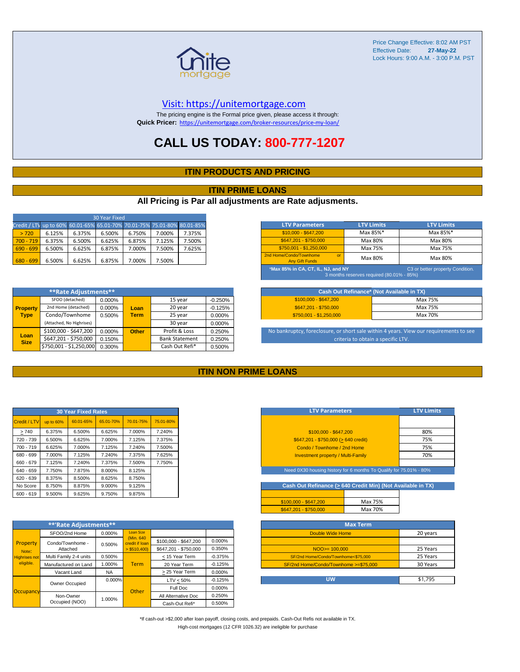

#### [V](https://unitemortgage.com/)isit: https://unitemortgage.com

The pricing engine is the Formal price given, please access it through: **Quick Pricer:** [https://un](https://unitemortgage.com/broker-resources/price-my-loan/)itemortgage.com/broker-resources/price-my-loan/

## **CALL US TODAY: 800-777-1207**

#### **ITIN PRODUCTS AND PRICING**

#### **ITIN PRIME LOANS**

#### **All Pricing is Par all adjustments are Rate adjusments.**

| 30 Year Fixed                                                            |        |        |        |        |        |        |  |  |  |
|--------------------------------------------------------------------------|--------|--------|--------|--------|--------|--------|--|--|--|
| Credit / LTV up to 60% 60.01-65% 65.01-70% 70.01-75% 75.01-80% 80.01-85% |        |        |        |        |        |        |  |  |  |
| > 720                                                                    | 6.125% | 6.375% | 6.500% | 6.750% | 7.000% | 7.375% |  |  |  |
| $700 - 719$                                                              | 6.375% | 6.500% | 6.625% | 6.875% | 7.125% | 7.500% |  |  |  |
| $690 - 699$                                                              | 6.500% | 6.625% | 6.875% | 7.000% | 7.500% | 7.625% |  |  |  |
| $680 - 699$                                                              | 6.500% | 6.625% | 6.875% | 7.000% | 7.500% |        |  |  |  |

| <b>LTV Parameters</b>                                                                                               | <b>LTV Limits</b> | <b>LTV Limits</b> |  |  |  |  |  |  |
|---------------------------------------------------------------------------------------------------------------------|-------------------|-------------------|--|--|--|--|--|--|
| $$10,000 - $647,200$                                                                                                | Max 85%*          | Max 85%*          |  |  |  |  |  |  |
| \$647.201 - \$750.000                                                                                               | Max 80%           | Max 80%           |  |  |  |  |  |  |
| \$750.001 - \$1.250.000                                                                                             | Max 75%           | Max 75%           |  |  |  |  |  |  |
| 2nd Home/Condo/Townhome<br>$\alpha$ <sup>r</sup><br><b>Any Gift Funds</b>                                           | Max 80%           | Max 80%           |  |  |  |  |  |  |
| *Max 85% in CA, CT, IL, NJ, and NY<br>C3 or better property Condition.<br>3 months reserves required (80.01% - 85%) |                   |                   |  |  |  |  |  |  |

|                     | **Rate Adjustments**     |        |              |                       |           |
|---------------------|--------------------------|--------|--------------|-----------------------|-----------|
|                     | SFOO (detached)          | 0.000% |              | 15 year               | $-0.250%$ |
| <b>Property</b>     | 2nd Home (detached)      | 0.000% | Loan         | 20 year               | $-0.125%$ |
| <b>Type</b>         | Condo/Townhome           | 0.500% | <b>Term</b>  | 25 year               | 0.000%    |
|                     | (Attached, No Highrises) |        |              | 30 year               | 0.000%    |
|                     | \$100,000 - \$647,200    | 0.000% | <b>Other</b> | Profit & Loss         | 0.250%    |
| Loan<br><b>Size</b> | \$647,201 - \$750,000    | 0.150% |              | <b>Bank Statement</b> | 0.250%    |
|                     | \$750,001 - \$1,250,000  | 0.300% |              | Cash Out Refi*        | 0.500%    |

|                         | Cash Out Refinance* (Not Available in TX) |
|-------------------------|-------------------------------------------|
| $$100.000 - $647.200$   | Max 75%                                   |
| \$647.201 - \$750.000   | Max 75%                                   |
| \$750.001 - \$1.250.000 | Max 70%                                   |

No bankruptcy, foreclosure, or short sale within 4 years. View our requirements to see criteria to obtain a specific LTV.

#### **ITIN NON PRIME LOANS**

| <b>30 Year Fixed Rates</b> |           |           |           |           |           |  |  |  |  |
|----------------------------|-----------|-----------|-----------|-----------|-----------|--|--|--|--|
| Credit / LTV               | up to 60% | 60.01-65% | 65.01-70% | 70.01-75% | 75.01-80% |  |  |  |  |
| >740                       | 6.375%    | 6.500%    | 6.625%    | 7.000%    | 7.240%    |  |  |  |  |
| 720 - 739                  | 6.500%    | 6.625%    | 7.000%    | 7.125%    | 7.375%    |  |  |  |  |
| $700 - 719$                | 6.625%    | 7.000%    | 7.125%    | 7.240%    | 7.500%    |  |  |  |  |
| 680 - 699                  | 7.000%    | 7.125%    | 7.240%    | 7.375%    | 7.625%    |  |  |  |  |
| 660 - 679                  | 7.125%    | 7.240%    | 7.375%    | 7.500%    | 7.750%    |  |  |  |  |
| 640 - 659                  | 7.750%    | 7.875%    | 8.000%    | 8.125%    |           |  |  |  |  |
| $620 - 639$                | 8.375%    | 8.500%    | 8.625%    | 8.750%    |           |  |  |  |  |
| No Score                   | 8.750%    | 8.875%    | 9.000%    | 9.125%    |           |  |  |  |  |
| $600 - 619$                | 9.500%    | 9.625%    | 9.750%    | 9.875%    |           |  |  |  |  |

|                                            | **'Rate Adjustments**  |           |                              |                       |                                         |
|--------------------------------------------|------------------------|-----------|------------------------------|-----------------------|-----------------------------------------|
|                                            | SFOO/2nd Home          | 0.000%    | <b>Loan Size</b>             |                       |                                         |
| Property                                   | Condo/Townhome -       | 0.500%    | (Min. 640)<br>credit if Ioan | \$100,000 - \$647,200 | 0.000%                                  |
| Note:<br><b>Highrises not</b><br>eligible. | Attached               |           | $>$ \$510,400)               | \$647.201 - \$750.000 | 0.350%                                  |
|                                            | Multi Family 2-4 units | 0.500%    |                              | < 15 Year Term        | $-0.375%$                               |
|                                            | Manufactured on Land   | 1.000%    | <b>Term</b>                  | 20 Year Term          | $-0.125%$                               |
|                                            | Vacant Land            | <b>NA</b> |                              | > 25 Year Term        | 0.000%                                  |
|                                            | Owner Occupied         | $0.000\%$ |                              | $LTV < 50\%$          | $-0.125%$<br>0.000%<br>0.250%<br>0.500% |
|                                            |                        |           | Other                        | Full Doc              |                                         |
| Occupancy                                  | Non-Owner              | 1.000%    |                              | All Alternative Doc   |                                         |
|                                            | Occupied (NOO)         |           |                              | Cash-Out Refi*        |                                         |

| <b>LTV Parameters</b>                        | <b>LTV Limits</b> |
|----------------------------------------------|-------------------|
|                                              |                   |
| \$100.000 - \$647.200                        | 80%               |
| $$647,201 - $750,000 (> 640 \text{ credit})$ | 75%               |
| Condo / Townhome / 2nd Home                  | 75%               |
| <b>Investment property / Multi-Family</b>    | 70%               |
|                                              |                   |

eed 0X30 housing history for 6 months To Qualify for 75.01% - 80<sup>6</sup>

Cash Out Refinance ( $\geq 640$  Credit Min) (Not Available in TX)

| $$647,201 - $750,000$ | Max 70% |  |
|-----------------------|---------|--|
| $$100,000 - $647,200$ | Max 75% |  |

| <b>Max Term</b>                       |          |
|---------------------------------------|----------|
| Double Wide Home                      | 20 years |
|                                       |          |
| $NOO > = 100,000$                     | 25 Years |
| SF/2nd Home/Condo/Townhome<\$75.000   | 25 Years |
| SF/2nd Home/Condo/Townhome >=\$75,000 | 30 Years |
|                                       |          |
| UW                                    | \$1,795  |

\*If cash-out >\$2,000 after loan payoff, closing costs, and prepaids. Cash-Out Refis not available in TX. High-cost mortgages (12 CFR 1026.32) are ineligible for purchase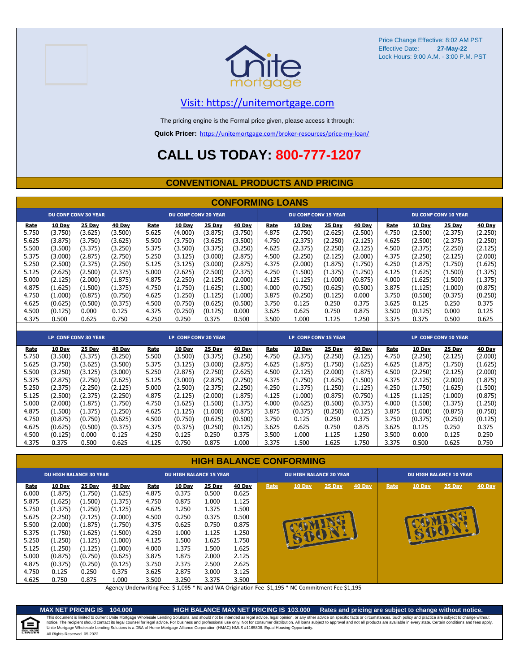



### [V](https://unitemortgage.com/)isit: https://unitemortgage.com

The pricing engine is the Formal price given, please access it through:

**Quick Pricer:** [https://un](https://unitemortgage.com/broker-resources/price-my-loan/)itemortgage.com/broker-resources/price-my-loan/

## **CALL US TODAY: 800-777-1207**

#### **CONVENTIONAL PRODUCTS AND PRICING**

|       | <b>CONFORMING LOANS</b> |                             |         |       |                             |         |         |       |                             |         |         |       |         |                             |         |
|-------|-------------------------|-----------------------------|---------|-------|-----------------------------|---------|---------|-------|-----------------------------|---------|---------|-------|---------|-----------------------------|---------|
|       |                         | <b>DU CONF CONV 30 YEAR</b> |         |       | <b>DU CONF CONV 20 YEAR</b> |         |         |       | <b>DU CONF CONV 15 YEAR</b> |         |         |       |         | <b>DU CONF CONV 10 YEAR</b> |         |
| Rate  | 10 Day                  | 25 Day                      | 40 Day  | Rate  | 10 Day                      | 25 Day  | 40 Day  | Rate  | 10 Day                      | 25 Day  | 40 Day  | Rate  | 10 Day  | 25 Day                      | 40 Day  |
| 5.750 | (3.750)                 | (3.625)                     | (3.500) | 5.625 | (4.000)                     | (3.875) | (3.750) | 4.875 | (2.750)                     | (2.625) | (2.500) | 4.750 | (2.500) | (2.375)                     | (2.250) |
| 5.625 | (3.875)                 | (3.750)                     | (3.625) | 5.500 | (3.750)                     | (3.625) | (3.500) | 4.750 | (2.375)                     | (2.250) | (2.125) | 4.625 | (2.500) | (2.375)                     | (2.250) |
| 5.500 | (3.500)                 | (3.375)                     | (3.250) | 5.375 | (3.500)                     | (3.375) | (3.250) | 4.625 | (2.375)                     | (2.250) | (2.125) | 4.500 | (2.375) | (2.250)                     | (2.125) |
| 5.375 | (3.000)                 | (2.875)                     | (2.750) | 5.250 | (3.125)                     | (3.000) | (2.875) | 4.500 | (2.250)                     | (2.125) | (2.000) | 4.375 | (2.250) | (2.125)                     | (2.000) |
| 5.250 | (2.500)                 | (2.375)                     | (2.250) | 5.125 | (3.125)                     | (3.000) | (2.875) | 4.375 | (2.000)                     | (1.875) | (1.750) | 4.250 | (1.875) | (1.750)                     | (1.625) |
| 5.125 | (2.625)                 | (2.500)                     | (2.375) | 5.000 | (2.625)                     | (2.500) | (2.375) | 4.250 | (1.500)                     | (1.375) | (1.250) | 4.125 | (1.625) | (1.500)                     | (1.375) |
| 5.000 | (2.125)                 | (2.000)                     | (1.875) | 4.875 | (2.250)                     | (2.125) | (2.000) | 4.125 | (1.125)                     | (1.000) | (0.875) | 4.000 | (1.625) | (1.500)                     | (1.375) |
| 4.875 | (1.625)                 | (1.500)                     | (1.375) | 4.750 | (1.750)                     | (1.625) | (1.500) | 4.000 | (0.750)                     | (0.625) | (0.500) | 3.875 | (1.125) | (1.000)                     | (0.875) |
| 4.750 | (1.000)                 | (0.875)                     | (0.750) | 4.625 | (1.250)                     | (1.125) | (1.000) | 3.875 | (0.250)                     | (0.125) | 0.000   | 3.750 | (0.500) | (0.375)                     | (0.250) |
| 4.625 | (0.625)                 | (0.500)                     | (0.375) | 4.500 | (0.750)                     | (0.625) | (0.500) | 3.750 | 0.125                       | 0.250   | 0.375   | 3.625 | 0.125   | 0.250                       | 0.375   |
| 4.500 | (0.125)                 | 0.000                       | 0.125   | 4.375 | (0.250)                     | (0.125) | 0.000   | 3.625 | 0.625                       | 0.750   | 0.875   | 3.500 | (0.125) | 0.000                       | 0.125   |
| 4.375 | 0.500                   | 0.625                       | 0.750   | 4.250 | 0.250                       | 0.375   | 0.500   | 3.500 | 1.000                       | 1.125   | 1.250   | 3.375 | 0.375   | 0.500                       | 0.625   |
|       |                         |                             |         |       |                             |         |         |       |                             |         |         |       |         |                             |         |
|       |                         | LP CONF CONV 30 YEAR        |         |       | LP CONF CONV 20 YEAR        |         |         |       | <b>LP CONF CONV 15 YEAR</b> |         |         |       |         | <b>LP CONF CONV 10 YEAR</b> |         |
| Rate  | 10 Day                  | 25 Dav                      | 40 Day  | Rate  | 10 Day                      | 25 Day  | 40 Day  | Rate  | 10 Day                      | 25 Dav  | 40 Day  | Rate  | 10 Day  | 25 Day                      | 40 Day  |
| 5.750 | (3.500)                 | (3.375)                     | (3.250) | 5.500 | (3.500)                     | (3.375) | (3.250) | 4.750 | (2.375)                     | (2.250) | (2.125) | 4.750 | (2.250) | (2.125)                     | (2.000) |
| 5.625 | (3.750)                 | (3.625)                     | (3.500) | 5.375 | (3.125)                     | (3.000) | (2.875) | 4.625 | (1.875)                     | (1.750) | (1.625) | 4.625 | (1.875) | (1.750)                     | (1.625) |
| 5.500 | (3.250)                 | (3.125)                     | (3.000) | 5.250 | (2.875)                     | (2.750) | (2.625) | 4.500 | (2.125)                     | (2.000) | (1.875) | 4.500 | (2.250) | (2.125)                     | (2.000) |
| 5.375 | (2.875)                 | (2.750)                     | (2.625) | 5.125 | (3.000)                     | (2.875) | (2.750) | 4.375 | (1.750)                     | (1.625) | (1.500) | 4.375 | (2.125) | (2.000)                     | (1.875) |
| 5.250 | (2.375)                 | (2.250)                     | (2.125) | 5.000 | (2.500)                     | (2.375) | (2.250) | 4.250 | (1.375)                     | (1.250) | (1.125) | 4.250 | (1.750) | (1.625)                     | (1.500) |
| 5.125 | (2.500)                 | (2.375)                     | (2.250) | 4.875 | (2.125)                     | (2.000) | (1.875) | 4.125 | (1.000)                     | (0.875) | (0.750) | 4.125 | (1.125) | (1.000)                     | (0.875) |
| 5.000 | (2.000)                 | (1.875)                     | (1.750) | 4.750 | (1.625)                     | (1.500) | (1.375) | 4.000 | (0.625)                     | (0.500) | (0.375) | 4.000 | (1.500) | (1.375)                     | (1.250) |
| 4.875 | (1.500)                 | (1.375)                     | (1.250) | 4.625 | (1.125)                     | (1.000) | (0.875) | 3.875 | (0.375)                     | (0.250) | (0.125) | 3.875 | (1.000) | (0.875)                     | (0.750) |
| 4.750 | (0.875)                 | (0.750)                     | (0.625) | 4.500 | (0.750)                     | (0.625) | (0.500) | 3.750 | 0.125                       | 0.250   | 0.375   | 3.750 | (0.375) | (0.250)                     | (0.125) |
| 4.625 | (0.625)                 | (0.500)                     | (0.375) | 4.375 | (0.375)                     | (0.250) | (0.125) | 3.625 | 0.625                       | 0.750   | 0.875   | 3.625 | 0.125   | 0.250                       | 0.375   |
| 4.500 | (0.125)                 | 0.000                       | 0.125   | 4.250 | 0.125                       | 0.250   | 0.375   | 3.500 | 1.000                       | 1.125   | 1.250   | 3.500 | 0.000   | 0.125                       | 0.250   |
| 4.375 | 0.375                   | 0.500                       | 0.625   | 4.125 | 0.750                       | 0.875   | 1.000   | 3.375 | 1.500                       | 1.625   | 1.750   | 3.375 | 0.500   | 0.625                       | 0.750   |

#### **HIGH BALANCE CONFORMING**

|       | <b>DU HIGH BALANCE 30 YEAR</b><br>25 Day<br>10 Day<br><u>Rate</u> |         |               |       | <b>DU HIGH BALANCE 15 YEAR</b> |               |               | <b>DU HIGH BALANCE 20 YEAR</b> |               |          |               | <b>DU HIGH BALANCE 10 YEAR</b> |               |          |               |  |
|-------|-------------------------------------------------------------------|---------|---------------|-------|--------------------------------|---------------|---------------|--------------------------------|---------------|----------|---------------|--------------------------------|---------------|----------|---------------|--|
|       |                                                                   |         | <b>40 Day</b> | Rate  | 10 Day                         | <b>25 Day</b> | <b>40 Day</b> | Rate                           | <b>10 Day</b> | $25$ Day | <b>40 Day</b> | Rate                           | <b>10 Day</b> | $25$ Day | <b>40 Day</b> |  |
| 6.000 | (1.875)                                                           | (1.750) | (1.625)       | 4.875 | 0.375                          | 0.500         | 0.625         |                                |               |          |               |                                |               |          |               |  |
| 5.875 | (1.625)                                                           | (1.500) | (1.375)       | 4.750 | 0.875                          | 1.000         | 1.125         |                                |               |          |               |                                |               |          |               |  |
| 5.750 | (1.375)                                                           | (1.250) | (1.125)       | 4.625 | L.250                          | 1.375         | 1.500         |                                |               |          |               |                                |               |          |               |  |
| 5.625 | (2.250)                                                           | (2.125) | (2.000)       | 4.500 | 0.250                          | 0.375         | 0.500         |                                |               |          |               |                                |               |          |               |  |
| 5.500 | (2.000)                                                           | (1.875) | (1.750)       | 4.375 | 0.625                          | 0.750         | 0.875         |                                |               |          |               |                                |               |          |               |  |
| 5.375 | (1.750)                                                           | (1.625) | (1.500)       | 4.250 | L.000                          | 1.125         | 1.250         |                                |               |          |               |                                |               |          |               |  |
| 5.250 | (1.250)                                                           | (1.125) | (1.000)       | 4.125 | L.500                          | 1.625         | 1.750         |                                |               |          |               |                                |               |          |               |  |
| 5.125 | (1.250)                                                           | (1.125) | (1.000)       | 4.000 | l.375                          | 1.500         | 1.625         |                                |               |          |               |                                |               |          |               |  |
| 5.000 | (0.875)                                                           | (0.750) | (0.625)       | 3.875 | 1.875                          | 2.000         | 2.125         |                                |               |          |               |                                |               |          |               |  |
| 4.875 | (0.375)                                                           | (0.250) | (0.125)       | 3.750 | 2.375                          | 2.500         | 2.625         |                                |               |          |               |                                |               |          |               |  |
| 4.750 | 0.125                                                             | 0.250   | 0.375         | 3.625 | 2.875                          | 3.000         | 3.125         |                                |               |          |               |                                |               |          |               |  |
| 4.625 | 0.750                                                             | 0.875   | 1.000         | 3.500 | 3.250                          | 3.375         | 3.500         |                                |               |          |               |                                |               |          |               |  |

Agency Underwriting Fee: \$ 1,095 \* NJ and WA Origination Fee \$1,195 \* NC Commitment Fee \$1,195



**MAX NET PRICING IS 104.000 HIGH BALANCE MAX NET PRICING IS 103.000 Rates and pricing are subject to change without notice.** All Rights Reserved. 05.2022 This document is limited to current Unite Mortgage Wholesale Lending Solutions, and should not be intended as legal advice, legal opinion, or any other advice on specific facts or circumstances. Such policy and practice ar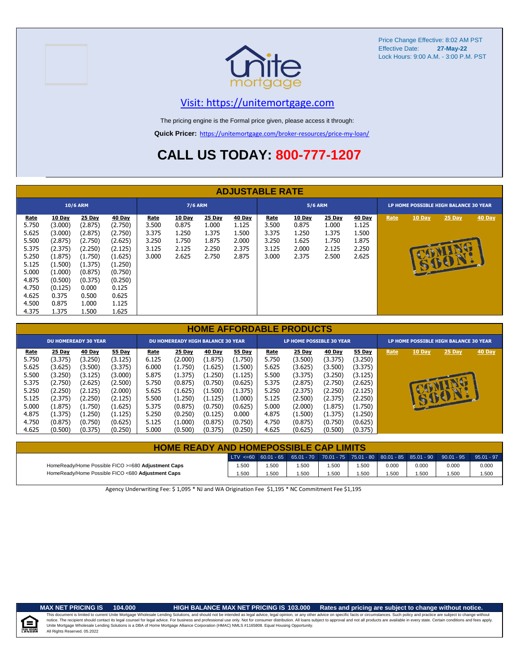



### [V](https://unitemortgage.com/)isit: https://unitemortgage.com

The pricing engine is the Formal price given, please access it through:

**Quick Pricer:** [https://un](https://unitemortgage.com/broker-resources/price-my-loan/)itemortgage.com/broker-resources/price-my-loan/

## **CALL US TODAY: 800-777-1207**

|                                                                                                                         | <b>ADJUSTABLE RATE</b>                                                                                                                      |                                                                                                                                           |                                                                                                                                           |                                                   |                                                            |                                                            |                                                            |                                                          |                                                            |                                                            |                                                            |      |               |                                       |               |
|-------------------------------------------------------------------------------------------------------------------------|---------------------------------------------------------------------------------------------------------------------------------------------|-------------------------------------------------------------------------------------------------------------------------------------------|-------------------------------------------------------------------------------------------------------------------------------------------|---------------------------------------------------|------------------------------------------------------------|------------------------------------------------------------|------------------------------------------------------------|----------------------------------------------------------|------------------------------------------------------------|------------------------------------------------------------|------------------------------------------------------------|------|---------------|---------------------------------------|---------------|
| <b>10/6 ARM</b>                                                                                                         |                                                                                                                                             |                                                                                                                                           |                                                                                                                                           |                                                   | <b>7/6 ARM</b>                                             |                                                            |                                                            |                                                          | <b>5/6 ARM</b>                                             |                                                            |                                                            |      |               | LP HOME POSSIBLE HIGH BALANCE 30 YEAR |               |
| <b>Rate</b><br>5.750<br>5.625<br>5.500<br>5.375<br>5.250<br>5.125<br>5.000<br>4.875<br>4.750<br>4.625<br>4.500<br>4.375 | <b>10 Day</b><br>(3.000)<br>(3.000)<br>(2.875)<br>(2.375)<br>(1.875)<br>(1.500)<br>(1.000)<br>(0.500)<br>(0.125)<br>0.375<br>0.875<br>1.375 | <b>25 Day</b><br>(2.875)<br>(2.875)<br>(2.750)<br>(2.250)<br>(1.750)<br>(1.375)<br>(0.875)<br>(0.375)<br>0.000<br>0.500<br>1.000<br>1.500 | <b>40 Day</b><br>(2.750)<br>(2.750)<br>(2.625)<br>(2.125)<br>(1.625)<br>(1.250)<br>(0.750)<br>(0.250)<br>0.125<br>0.625<br>1.125<br>1.625 | Rate<br>3.500<br>3.375<br>3.250<br>3.125<br>3.000 | <b>10 Day</b><br>0.875<br>1.250<br>1.750<br>2.125<br>2.625 | <b>25 Day</b><br>1.000<br>1.375<br>1.875<br>2.250<br>2.750 | <b>40 Day</b><br>1.125<br>1.500<br>2.000<br>2.375<br>2.875 | <u>Rate</u><br>3.500<br>3.375<br>3.250<br>3.125<br>3.000 | <b>10 Day</b><br>0.875<br>1.250<br>1.625<br>2.000<br>2.375 | <b>25 Day</b><br>1.000<br>1.375<br>1.750<br>2.125<br>2.500 | <b>40 Day</b><br>1.125<br>1.500<br>1.875<br>2.250<br>2.625 | Rate | <b>10 Day</b> | <b>25 Day</b><br>BILID                | <b>40 Day</b> |

|       | <b>HOME AFFORDABLE PRODUCTS</b> |         |         |       |                                          |         |               |       |                                 |         |               |      |        |                                       |               |
|-------|---------------------------------|---------|---------|-------|------------------------------------------|---------|---------------|-------|---------------------------------|---------|---------------|------|--------|---------------------------------------|---------------|
|       | <b>DU HOMEREADY 30 YEAR</b>     |         |         |       | <b>DU HOMEREADY HIGH BALANCE 30 YEAR</b> |         |               |       | <b>LP HOME POSSIBLE 30 YEAR</b> |         |               |      |        | LP HOME POSSIBLE HIGH BALANCE 30 YEAR |               |
| Rate  | 25 Day                          | 40 Day  | 55 Day  | Rate  | <b>25 Day</b>                            | 40 Day  | <b>55 Day</b> | Rate  | <b>25 Day</b>                   | 40 Day  | <b>55 Day</b> | Rate | 10 Day | 25 Day                                | <b>40 Day</b> |
| 5.750 | (3.375)                         | (3.250) | (3.125) | 6.125 | (2.000)                                  | (1.875) | (1.750)       | 5.750 | (3.500)                         | (3.375) | (3.250)       |      |        |                                       |               |
| 5.625 | (3.625)                         | (3.500) | (3.375) | 6.000 | (1.750)                                  | (1.625) | (1.500)       | 5.625 | (3.625)                         | (3.500) | (3.375)       |      |        |                                       |               |
| 5.500 | (3.250)                         | (3.125) | (3.000) | 5.875 | (1.375)                                  | (1.250) | (1.125)       | 5.500 | (3.375)                         | (3.250) | (3.125)       |      |        |                                       |               |
| 5.375 | (2.750)                         | (2.625) | (2.500) | 5.750 | (0.875)                                  | (0.750) | (0.625)       | 5.375 | (2.875)                         | (2.750) | (2.625)       |      |        |                                       |               |
| 5.250 | (2.250)                         | (2.125) | (2.000) | 5.625 | (1.625)                                  | (1.500) | (1.375)       | 5.250 | (2.375)                         | (2.250) | (2.125)       |      |        |                                       |               |
| 5.125 | (2.375)                         | (2.250) | (2.125) | 5.500 | (1.250)                                  | (1.125) | (1.000)       | 5.125 | (2.500)                         | (2.375) | (2.250)       |      |        | 15001                                 |               |
| 5.000 | (1.875)                         | (1.750) | (1.625) | 5.375 | (0.875)                                  | (0.750) | (0.625)       | 5.000 | (2.000)                         | (1.875) | (1.750)       |      |        |                                       |               |
| 4.875 | (1.375)                         | (1.250) | (1.125) | 5.250 | (0.250)                                  | (0.125) | 0.000         | 4.875 | (1.500)                         | (1.375) | (1.250)       |      |        |                                       |               |
| 4.750 | (0.875)                         | (0.750) | (0.625) | 5.125 | (1.000)                                  | (0.875) | (0.750)       | 4.750 | (0.875)                         | (0.750) | (0.625)       |      |        |                                       |               |
| 4.625 | (0.500)                         | (0.375) | (0.250) | 5.000 | (0.500)                                  | (0.375) | (0.250)       | 4.625 | (0.625)                         | (0.500) | (0.375)       |      |        |                                       |               |

| <b>HOME READY AND HOMEPOSSIBLE CAP LIMITS</b>      |       |      |                                                                                                                                                                                                   |       |      |       |       |       |              |
|----------------------------------------------------|-------|------|---------------------------------------------------------------------------------------------------------------------------------------------------------------------------------------------------|-------|------|-------|-------|-------|--------------|
|                                                    |       |      | $^{\prime}$ LTV <=60 $^{\prime}$ 60.01 - 65 $^{\prime}$ 65.01 - 70 $^{\prime}$ 70.01 - 75 $^{\prime}$ 75.01 - 80 $^{\prime}$ 80.01 - 85 $^{\prime}$ 85.01 - 90 $^{\prime}$ 90.01 - 95 $^{\prime}$ |       |      |       |       |       | $95.01 - 97$ |
| HomeReady/Home Possible FICO >=680 Adjustment Caps | 1.500 | .500 | 1.500                                                                                                                                                                                             | 1.500 | .500 | 0.000 | 0.000 | 0.000 | 0.000        |
| HomeReady/Home Possible FICO <680 Adjustment Caps  | 1.500 | .500 | 1.500                                                                                                                                                                                             | 1.500 | .500 | .500  | .500  | .500  | 1.500        |

Agency Underwriting Fee: \$ 1,095 \* NJ and WA Origination Fee \$1,195 \* NC Commitment Fee \$1,195



#### **MAX NET PRICING IS 104.000 HIGH BALANCE MAX NET PRICING IS 103.000 Rates and pricing are subject to change without notice.**

All Rights Reserved. 05.2022 This document is limited to current Unite Mortgage Wholesale Lending Solutions, and should not be intended as legal advice, legal opinion, or any other advice on specific facts or circumstances. Such policy and practice ar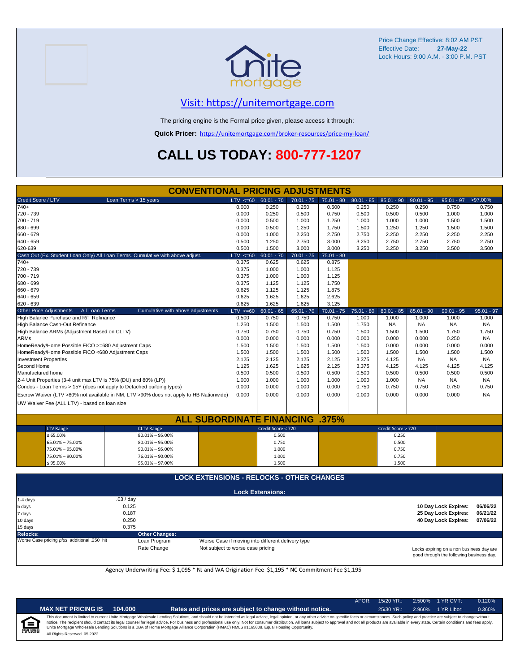

### [V](https://unitemortgage.com/)isit: https://unitemortgage.com

The pricing engine is the Formal price given, please access it through:

**Quick Pricer:** [https://un](https://unitemortgage.com/broker-resources/price-my-loan/)itemortgage.com/broker-resources/price-my-loan/

## **CALL US TODAY: 800-777-1207**

|                                                                 | <b>CONVENTIONAL PRICING ADJUSTMENTS</b>                                                |              |                         |              |              |              |                    |              |                      |              |  |
|-----------------------------------------------------------------|----------------------------------------------------------------------------------------|--------------|-------------------------|--------------|--------------|--------------|--------------------|--------------|----------------------|--------------|--|
| Credit Score / LTV                                              | Loan Terms > 15 years                                                                  | $LTV < =60$  | $60.01 - 70$            | $70.01 - 75$ | $75.01 - 80$ | $80.01 - 85$ | $85.01 - 90$       | $90.01 - 95$ | $95.01 - 97$         | >97.00%      |  |
| $740+$                                                          |                                                                                        | 0.000        | 0.250                   | 0.250        | 0.500        | 0.250        | 0.250              | 0.250        | 0.750                | 0.750        |  |
| 720 - 739                                                       |                                                                                        | 0.000        | 0.250                   | 0.500        | 0.750        | 0.500        | 0.500              | 0.500        | 1.000                | 1.000        |  |
| 700 - 719                                                       |                                                                                        | 0.000        | 0.500                   | 1.000        | 1.250        | 1.000        | 1.000              | 1.000        | 1.500                | 1.500        |  |
| 680 - 699                                                       |                                                                                        | 0.000        | 0.500                   | 1.250        | 1.750        | 1.500        | 1.250              | 1.250        | 1.500                | 1.500        |  |
| 660 - 679                                                       |                                                                                        | 0.000        | 1.000                   | 2.250        | 2.750        | 2.750        | 2.250              | 2.250        | 2.250                | 2.250        |  |
| 640 - 659                                                       |                                                                                        | 0.500        | 1.250                   | 2.750        | 3.000        | 3.250        | 2.750              | 2.750        | 2.750                | 2.750        |  |
| 620-639                                                         |                                                                                        | 0.500        | 1.500                   | 3.000        | 3.000        | 3.250        | 3.250              | 3.250        | 3.500                | 3.500        |  |
|                                                                 | Cash Out (Ex. Student Loan Only) All Loan Terms. Cumulative with above adjust.         | $LTV < =60$  | $60.01 - 70$            | $70.01 - 75$ | $75.01 - 80$ |              |                    |              |                      |              |  |
| 740+                                                            |                                                                                        | 0.375        | 0.625                   | 0.625        | 0.875        |              |                    |              |                      |              |  |
| 720 - 739                                                       |                                                                                        | 0.375        | 1.000                   | 1.000        | 1.125        |              |                    |              |                      |              |  |
| 700 - 719                                                       |                                                                                        | 0.375        | 1.000                   | 1.000        | 1.125        |              |                    |              |                      |              |  |
| 680 - 699                                                       |                                                                                        |              |                         |              | 1.750        |              |                    |              |                      |              |  |
| 660 - 679                                                       |                                                                                        | 0.625        | 1.125                   | 1.125        | 1.875        |              |                    |              |                      |              |  |
| 640 - 659                                                       |                                                                                        | 0.625        | 1.625                   | 1.625        | 2.625        |              |                    |              |                      |              |  |
| 620 - 639                                                       |                                                                                        | 0.625        | 1.625                   | 1.625        | 3.125        |              |                    |              |                      |              |  |
| <b>Other Price Adjustments</b>                                  | All Loan Terms<br>Cumulative with above adjustments                                    | $LTV \le 60$ | $60.01 - 65$            | $65.01 - 70$ | $70.01 - 75$ | $75.01 - 80$ | $80.01 - 85$       | $85.01 - 90$ | $90.01 - 95$         | $95.01 - 97$ |  |
| High Balance Purchase and R/T Refinance                         |                                                                                        | 0.500        | 0.750                   | 0.750        | 0.750        | 1.000        | 1.000              | 1.000        | 1.000                | 1.000        |  |
| High Balance Cash-Out Refinance                                 |                                                                                        | 1.250        | 1.500                   | 1.500        | 1.500        | 1.750        | NA                 | <b>NA</b>    | <b>NA</b>            | <b>NA</b>    |  |
| High Balance ARMs (Adjustment Based on CLTV)                    | 0.750                                                                                  | 0.750        | 0.750                   | 0.750        | 1.500        | 1.500        | 1.500              | 1.750        | 1.750                |              |  |
| <b>ARMs</b>                                                     |                                                                                        | 0.000        | 0.000                   | 0.000        | 0.000        | 0.000        | 0.000              | 0.000        | 0.250                | <b>NA</b>    |  |
| HomeReady/Home Possible FICO >=680 Adjustment Caps              |                                                                                        | 1.500        | 1.500                   | 1.500        | 1.500        | 1.500        | 0.000              | 0.000        | 0.000                | 0.000        |  |
| HomeReady/Home Possible FICO <680 Adjustment Caps               |                                                                                        | 1.500        | 1.500                   | 1.500        | 1.500        | 1.500        | 1.500              | 1.500        | 1.500                | 1.500        |  |
| <b>Investment Properties</b>                                    |                                                                                        | 2.125        | 2.125                   | 2.125        | 2.125        | 3.375        | 4.125              | <b>NA</b>    | <b>NA</b>            | <b>NA</b>    |  |
| Second Home                                                     |                                                                                        | 1.125        | 1.625                   | 1.625        | 2.125        | 3.375        | 4.125              | 4.125        | 4.125                | 4.125        |  |
| Manufactured home                                               |                                                                                        | 0.500        | 0.500                   | 0.500        | 0.500        | 0.500        | 0.500              | 0.500        | 0.500                | 0.500        |  |
| 2-4 Unit Properties (3-4 unit max LTV is 75% (DU) and 80% (LP)) |                                                                                        | 1.000        | 1.000                   | 1.000        | 1.000        | 1.000        | 1.000              | <b>NA</b>    | <b>NA</b>            | <b>NA</b>    |  |
|                                                                 | Condos - Loan Terms > 15Y (does not apply to Detached building types)                  | 0.000        | 0.000                   | 0.000        | 0.000        | 0.750        | 0.750              | 0.750        | 0.750                | 0.750        |  |
|                                                                 | Escrow Waiver (LTV >80% not available in NM, LTV >90% does not apply to HB Nationwide) | 0.000        | 0.000                   | 0.000        | 0.000        | 0.000        | 0.000              | 0.000        | 0.000                | <b>NA</b>    |  |
| UW Waiver Fee (ALL LTV) - based on loan size                    |                                                                                        |              |                         |              |              |              |                    |              |                      |              |  |
|                                                                 |                                                                                        |              |                         |              |              |              |                    |              |                      |              |  |
|                                                                 | <b>ALL SUBORDINATE FINANCING .375%</b>                                                 |              |                         |              |              |              |                    |              |                      |              |  |
| <b>LTV Range</b>                                                | <b>CLTV Range</b>                                                                      |              | Credit Score < 720      |              |              |              | Credit Score > 720 |              |                      |              |  |
| $\leq 65.00\%$                                                  | 80.01% - 95.00%                                                                        |              | 0.500                   |              |              |              | 0.250              |              |                      |              |  |
| 65.01% - 75.00%                                                 | 80.01% - 95.00%                                                                        |              | 0.750                   |              |              |              | 0.500              |              |                      |              |  |
| 75.01% - 95.00%                                                 | $90.01\% - 95.00\%$                                                                    |              | 1.000                   |              |              |              | 0.750              |              |                      |              |  |
| 75.01% - 90.00%                                                 | 76.01% - 90.00%                                                                        |              |                         |              |              |              | 0.750              |              |                      |              |  |
|                                                                 | ≤ 95.00%<br>95.01% - 97.00%                                                            |              |                         |              |              |              | 1.500              |              |                      |              |  |
|                                                                 |                                                                                        |              | 1.500                   |              |              |              |                    |              |                      |              |  |
|                                                                 | <b>LOCK EXTENSIONS - RELOCKS - OTHER CHANGES</b>                                       |              |                         |              |              |              |                    |              |                      |              |  |
|                                                                 |                                                                                        |              |                         |              |              |              |                    |              |                      |              |  |
|                                                                 |                                                                                        |              | <b>Lock Extensions:</b> |              |              |              |                    |              |                      |              |  |
| 1-4 days                                                        | .03 / day                                                                              |              |                         |              |              |              |                    |              |                      |              |  |
| 5 days                                                          | 0.125                                                                                  |              |                         |              |              |              |                    |              | 10 Day Lock Expires: | 06/06/22     |  |

| .<br>7 days                                 | 0.187                 |                                                   | 25 Day Lock Expires:                                                                 | 06/21/22 |
|---------------------------------------------|-----------------------|---------------------------------------------------|--------------------------------------------------------------------------------------|----------|
| 10 days                                     | 0.250                 |                                                   | 40 Day Lock Expires:                                                                 | 07/06/22 |
| 15 days                                     | 0.375                 |                                                   |                                                                                      |          |
| Relocks:                                    | <b>Other Changes:</b> |                                                   |                                                                                      |          |
| Worse Case pricing plus additional .250 hit | Loan Program          | Worse Case if moving into different delivery type |                                                                                      |          |
|                                             | Rate Change           | Not subject to worse case pricing                 | Locks expiring on a non business day are<br>good through the following business day. |          |

Agency Underwriting Fee: \$ 1,095 \* NJ and WA Origination Fee \$1,195 \* NC Commitment Fee \$1,195

| NDE |  |
|-----|--|

| <b>T PRICING IS</b><br>104.000 |  |
|--------------------------------|--|
|--------------------------------|--|

APOR: 15/20 YR.: 2.500% 1 YR CMT: 0.120%

**MAX NET PRICING IS 104.000 Rates and prices are subject to change without notice.** 25/30 YR.: 2.960% 1 YR Libor: 0.360% All Rights Reserved. 05.2022 This document is limited to current Unite Mortgage Wholesale Lending Solutions, and should not be intended as legal advice, legal opinion, or any other advice on specific facts or circumstances. Such policy and practice ar